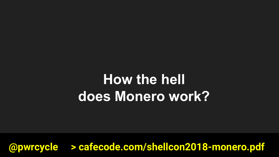# **How the hell does Monero work?**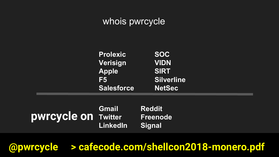### whois pwrcycle

| <b>Prolexic</b>   | <b>SOC</b>        |  |
|-------------------|-------------------|--|
| Verisign          | <b>VIDN</b>       |  |
| <b>Apple</b>      | <b>SIRT</b>       |  |
| F5                | <b>Silverline</b> |  |
| <b>Salesforce</b> | <b>NetSec</b>     |  |

|                            | <b>Gmail</b>    | <b>Reddit</b>         |
|----------------------------|-----------------|-----------------------|
| <b>pwrcycle on Twitter</b> |                 | Freenode <sup>1</sup> |
|                            | LinkedIn Signal |                       |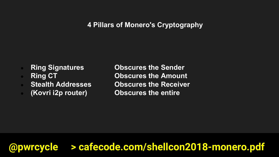### **4 Pillars of Monero's Cryptography**

- 
- 
- 
- 

● **Ring Signatures Obscures the Sender** ● **Ring CT Obscures the Amount Stealth Addresses Cobscures the Receiver** ● **(Kovri i2p router) Obscures the entire**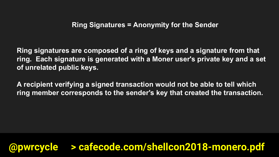**Ring signatures are composed of a ring of keys and a signature from that ring. Each signature is generated with a Moner user's private key and a set of unrelated public keys.**

**A recipient verifying a signed transaction would not be able to tell which ring member corresponds to the sender's key that created the transaction.**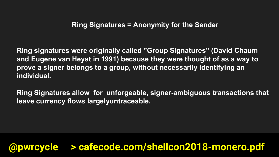**Ring signatures were originally called "Group Signatures" (David Chaum and Eugene van Heyst in 1991) because they were thought of as a way to prove a signer belongs to a group, without necessarily identifying an individual.** 

**Ring Signatures allow for unforgeable, signer-ambiguous transactions that leave currency flows largelyuntraceable.**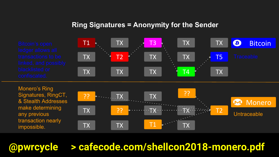#### **Ring Signatures = Anonymity for the Sender**



Monero's Ring Signatures, RingCT, & Stealth Addresses make determining any previous transaction nearly impossible.

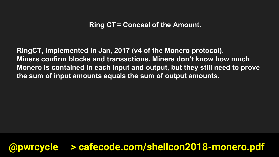**RingCT, implemented in Jan, 2017 (v4 of the Monero protocol). Miners confirm blocks and transactions. Miners don't know how much Monero is contained in each input and output, but they still need to prove the sum of input amounts equals the sum of output amounts.**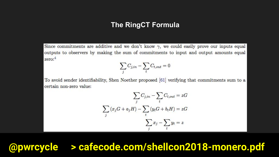#### **The RingCT Formula**

Since commitments are additive and we don't know  $\gamma$ , we could easily prove our inputs equal outputs to observers by making the sum of commitments to input and output amounts equal zero:4

$$
\sum_j C_{j,in} - \sum_t C_{t,out} = 0
$$

To avoid sender identifiability, Shen Noether proposed [61] verifying that commitments sum to a certain non-zero value:

$$
\sum_{j} C_{j,in} - \sum_{t} C_{t,out} = zG
$$

$$
\sum_{j} (x_j G + a_j H) - \sum_{t} (y_t G + b_t H) = zG
$$

$$
\sum_{j} x_j - \sum_{t} y_t = z
$$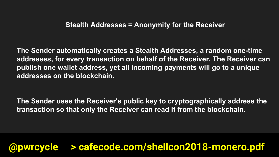**The Sender automatically creates a Stealth Addresses, a random one-time addresses, for every transaction on behalf of the Receiver. The Receiver can publish one wallet address, yet all incoming payments will go to a unique addresses on the blockchain.**

**The Sender uses the Receiver's public key to cryptographically address the transaction so that only the Receiver can read it from the blockchain.**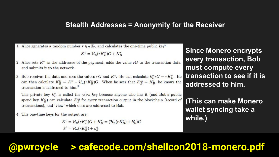#### **Stealth Addresses = Anonymity for the Receiver**

1. Alice generates a random number  $r \in_R \mathbb{Z}_l$ , and calculates the one-time public key<sup>2</sup>

$$
K^o = \mathcal{H}_n(rK^v_B)G + K^s_B
$$

- 2. Alice sets  $K^o$  as the addressee of the payment, adds the value rG to the transaction data. and submits it to the network.
- 3. Bob receives the data and sees the values rG and  $K^o$ . He can calculate  $k_B^v r G = r K_B^v$ . He can then calculate  $K_B^s = K^o - \mathcal{H}_n(rK_B^v)G$ . When he sees that  $K_B^s = K_B^s$ , he knows the transaction is addressed to  $him<sup>3</sup>$ .

The private key  $k_B^v$  is called the *view key* because anyone who has it (and Bob's public spend key  $K_B^s$ ) can calculate  $K_B^s$  for every transaction output in the blockchain (record of transactions), and 'view' which ones are addressed to Bob.

4. The one-time keys for the output are:

 $K^{o} = \mathcal{H}_{n}(rK_{B}^{v})G + K_{B}^{s} = (\mathcal{H}_{n}(rK_{B}^{v}) + k_{B}^{s})G$  $k^o = \mathcal{H}_n(rK_B^v) + k_B^s$ 

**Since Monero encrypts every transaction, Bob must compute every transaction to see if it is addressed to him.** 

**(This can make Monero wallet syncing take a while.)**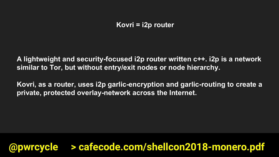**Kovri = i2p router**

**A lightweight and security-focused i2p router written c++. i2p is a network similar to Tor, but without entry/exit nodes or node hierarchy.**

**Kovri, as a router, uses i2p garlic-encryption and garlic-routing to create a private, protected overlay-network across the Internet.**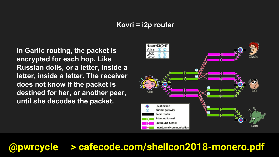#### **Kovri = i2p router**

**In Garlic routing, the packet is encrypted for each hop. Like Russian dolls, or a letter, inside a letter, inside a letter. The receiver does not know if the packet is destined for her, or another peer, until she decodes the packet.**

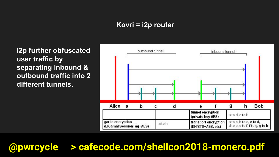### **Kovri = i2p router**

**i2p further obfuscated user traffic by separating inbound & outbound traffic into 2 different tunnels.**

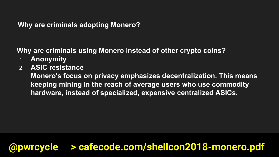### **Why are criminals adopting Monero?**

**Why are criminals using Monero instead of other crypto coins?**

- 1. **Anonymity**
- 2. **ASIC resistance**

**Monero's focus on privacy emphasizes decentralization. This means keeping mining in the reach of average users who use commodity hardware, instead of specialized, expensive centralized ASICs.**